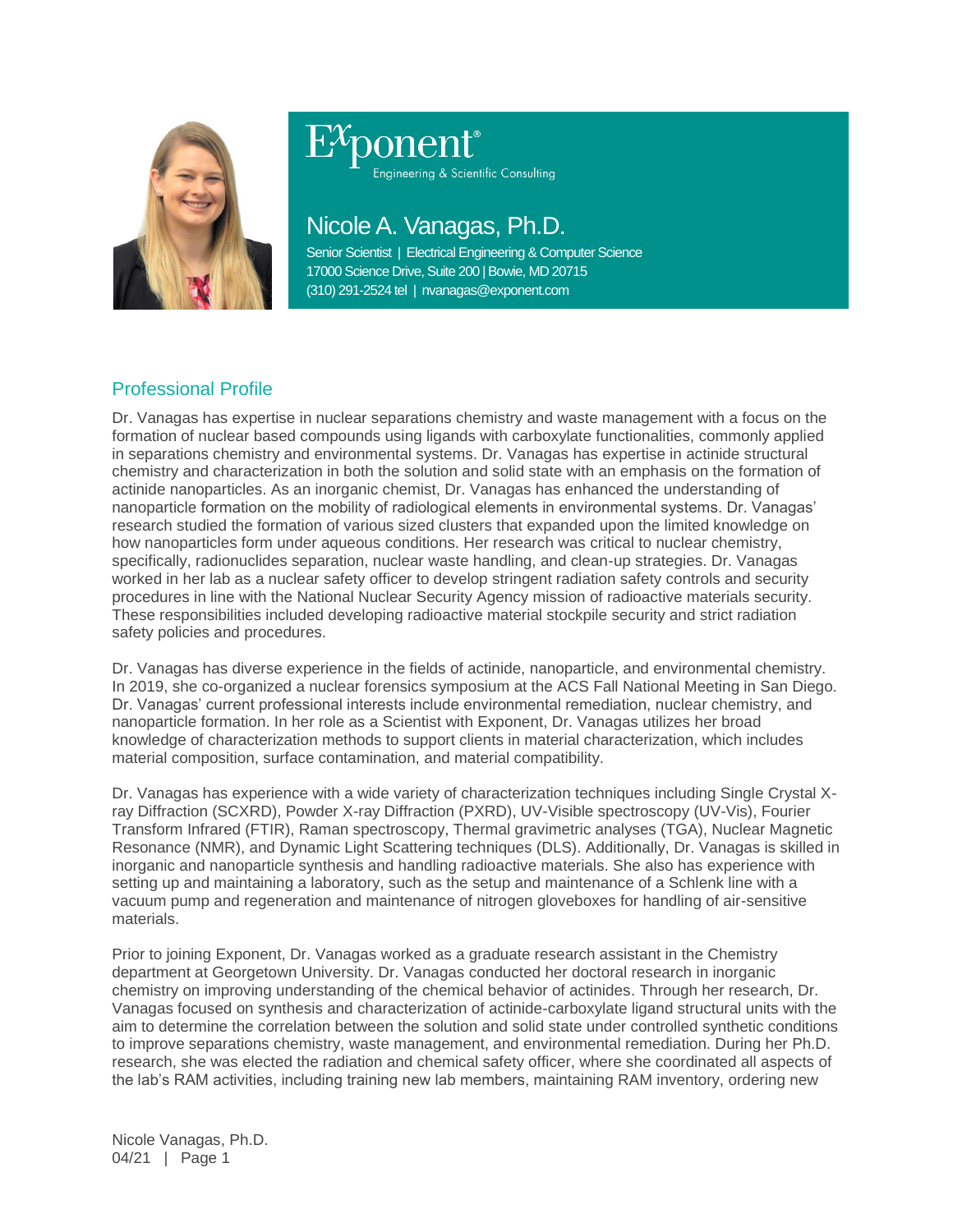

# Engineering & Scientific Consulting

## Nicole A. Vanagas, Ph.D.

Senior Scientist | Electrical Engineering & Computer Science 17000 Science Drive, Suite 200 | Bowie, MD 20715 (310) 291-2524 tel | nvanagas@exponent.com

### Professional Profile

Dr. Vanagas has expertise in nuclear separations chemistry and waste management with a focus on the formation of nuclear based compounds using ligands with carboxylate functionalities, commonly applied in separations chemistry and environmental systems. Dr. Vanagas has expertise in actinide structural chemistry and characterization in both the solution and solid state with an emphasis on the formation of actinide nanoparticles. As an inorganic chemist, Dr. Vanagas has enhanced the understanding of nanoparticle formation on the mobility of radiological elements in environmental systems. Dr. Vanagas' research studied the formation of various sized clusters that expanded upon the limited knowledge on how nanoparticles form under aqueous conditions. Her research was critical to nuclear chemistry, specifically, radionuclides separation, nuclear waste handling, and clean-up strategies. Dr. Vanagas worked in her lab as a nuclear safety officer to develop stringent radiation safety controls and security procedures in line with the National Nuclear Security Agency mission of radioactive materials security. These responsibilities included developing radioactive material stockpile security and strict radiation safety policies and procedures.

Dr. Vanagas has diverse experience in the fields of actinide, nanoparticle, and environmental chemistry. In 2019, she co-organized a nuclear forensics symposium at the ACS Fall National Meeting in San Diego. Dr. Vanagas' current professional interests include environmental remediation, nuclear chemistry, and nanoparticle formation. In her role as a Scientist with Exponent, Dr. Vanagas utilizes her broad knowledge of characterization methods to support clients in material characterization, which includes material composition, surface contamination, and material compatibility.

Dr. Vanagas has experience with a wide variety of characterization techniques including Single Crystal Xray Diffraction (SCXRD), Powder X-ray Diffraction (PXRD), UV-Visible spectroscopy (UV-Vis), Fourier Transform Infrared (FTIR), Raman spectroscopy, Thermal gravimetric analyses (TGA), Nuclear Magnetic Resonance (NMR), and Dynamic Light Scattering techniques (DLS). Additionally, Dr. Vanagas is skilled in inorganic and nanoparticle synthesis and handling radioactive materials. She also has experience with setting up and maintaining a laboratory, such as the setup and maintenance of a Schlenk line with a vacuum pump and regeneration and maintenance of nitrogen gloveboxes for handling of air-sensitive materials.

Prior to joining Exponent, Dr. Vanagas worked as a graduate research assistant in the Chemistry department at Georgetown University. Dr. Vanagas conducted her doctoral research in inorganic chemistry on improving understanding of the chemical behavior of actinides. Through her research, Dr. Vanagas focused on synthesis and characterization of actinide-carboxylate ligand structural units with the aim to determine the correlation between the solution and solid state under controlled synthetic conditions to improve separations chemistry, waste management, and environmental remediation. During her Ph.D. research, she was elected the radiation and chemical safety officer, where she coordinated all aspects of the lab's RAM activities, including training new lab members, maintaining RAM inventory, ordering new

Nicole Vanagas, Ph.D. 04/21 | Page 1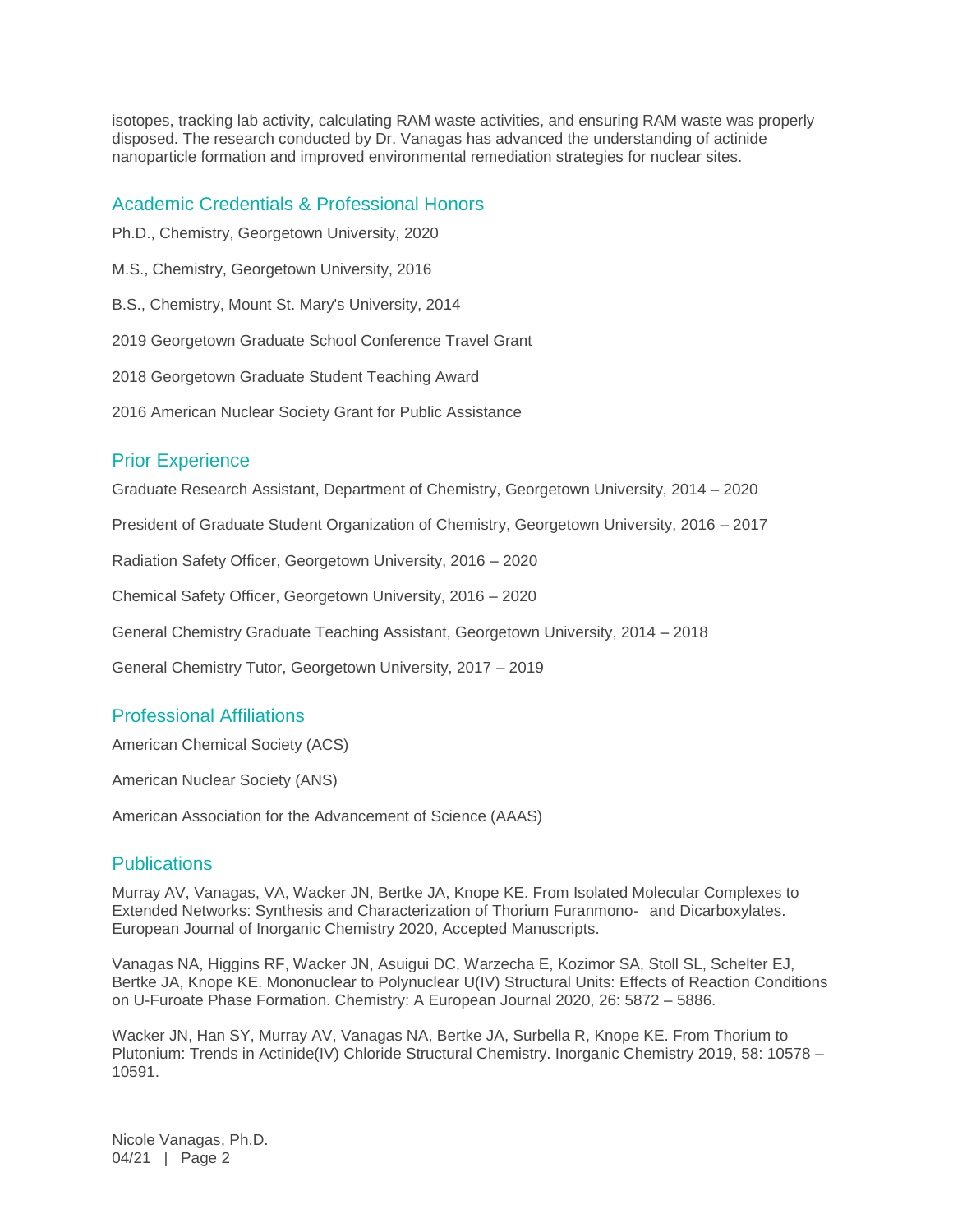isotopes, tracking lab activity, calculating RAM waste activities, and ensuring RAM waste was properly disposed. The research conducted by Dr. Vanagas has advanced the understanding of actinide nanoparticle formation and improved environmental remediation strategies for nuclear sites.

#### Academic Credentials & Professional Honors

- Ph.D., Chemistry, Georgetown University, 2020
- M.S., Chemistry, Georgetown University, 2016
- B.S., Chemistry, Mount St. Mary's University, 2014

2019 Georgetown Graduate School Conference Travel Grant

- 2018 Georgetown Graduate Student Teaching Award
- 2016 American Nuclear Society Grant for Public Assistance

#### Prior Experience

Graduate Research Assistant, Department of Chemistry, Georgetown University, 2014 – 2020

President of Graduate Student Organization of Chemistry, Georgetown University, 2016 – 2017

Radiation Safety Officer, Georgetown University, 2016 – 2020

Chemical Safety Officer, Georgetown University, 2016 – 2020

General Chemistry Graduate Teaching Assistant, Georgetown University, 2014 – 2018

General Chemistry Tutor, Georgetown University, 2017 – 2019

#### Professional Affiliations

American Chemical Society (ACS)

American Nuclear Society (ANS)

American Association for the Advancement of Science (AAAS)

#### **Publications**

Murray AV, Vanagas, VA, Wacker JN, Bertke JA, Knope KE. From Isolated Molecular Complexes to Extended Networks: Synthesis and Characterization of Thorium Furanmono‐ and Dicarboxylates. European Journal of Inorganic Chemistry 2020, Accepted Manuscripts.

Vanagas NA, Higgins RF, Wacker JN, Asuigui DC, Warzecha E, Kozimor SA, Stoll SL, Schelter EJ, Bertke JA, Knope KE. Mononuclear to Polynuclear U(IV) Structural Units: Effects of Reaction Conditions on U-Furoate Phase Formation. Chemistry: A European Journal 2020, 26: 5872 – 5886.

Wacker JN, Han SY, Murray AV, Vanagas NA, Bertke JA, Surbella R, Knope KE. From Thorium to Plutonium: Trends in Actinide(IV) Chloride Structural Chemistry. Inorganic Chemistry 2019, 58: 10578 – 10591.

Nicole Vanagas, Ph.D. 04/21 | Page 2